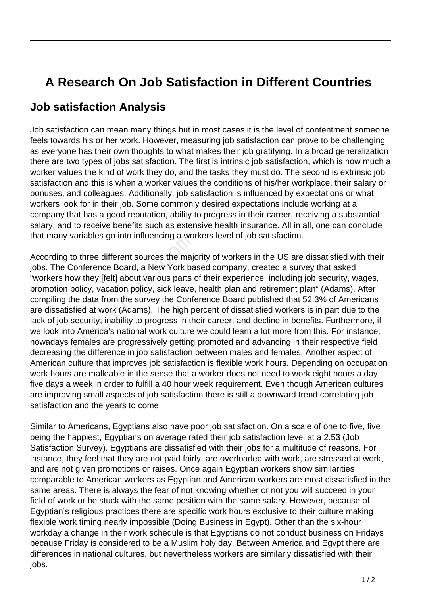## **A Research On Job Satisfaction in Different Countries**

## **Job satisfaction Analysis**

Job satisfaction can mean many things but in most cases it is the level of contentment someone feels towards his or her work. However, measuring job satisfaction can prove to be challenging as everyone has their own thoughts to what makes their job gratifying. In a broad generalization there are two types of jobs satisfaction. The first is intrinsic job satisfaction, which is how much a worker values the kind of work they do, and the tasks they must do. The second is extrinsic job satisfaction and this is when a worker values the conditions of his/her workplace, their salary or bonuses, and colleagues. Additionally, job satisfaction is influenced by expectations or what workers look for in their job. Some commonly desired expectations include working at a company that has a good reputation, ability to progress in their career, receiving a substantial salary, and to receive benefits such as extensive health insurance. All in all, one can conclude that many variables go into influencing a workers level of job satisfaction.

According to three different sources the majority of workers in the US are dissatisfied with their jobs. The Conference Board, a New York based company, created a survey that asked "workers how they [felt] about various parts of their experience, including job security, wages, promotion policy, vacation policy, sick leave, health plan and retirement plan" (Adams). After compiling the data from the survey the Conference Board published that 52.3% of Americans are dissatisfied at work (Adams). The high percent of dissatisfied workers is in part due to the lack of job security, inability to progress in their career, and decline in benefits. Furthermore, if we look into America's national work culture we could learn a lot more from this. For instance, nowadays females are progressively getting promoted and advancing in their respective field decreasing the difference in job satisfaction between males and females. Another aspect of American culture that improves job satisfaction is flexible work hours. Depending on occupation work hours are malleable in the sense that a worker does not need to work eight hours a day five days a week in order to fulfill a 40 hour week requirement. Even though American cultures are improving small aspects of job satisfaction there is still a downward trend correlating job satisfaction and the years to come. variables go into imidericing a worst<br>to three different sources the majo<br>Conference Board, a New York ba<br>ow they [felt] about various parts of<br>policy, vacation policy, sick leave,<br>the data from the survey the Confe<br>sfied

Similar to Americans, Egyptians also have poor job satisfaction. On a scale of one to five, five being the happiest, Egyptians on average rated their job satisfaction level at a 2.53 (Job Satisfaction Survey). Egyptians are dissatisfied with their jobs for a multitude of reasons. For instance, they feel that they are not paid fairly, are overloaded with work, are stressed at work, and are not given promotions or raises. Once again Egyptian workers show similarities comparable to American workers as Egyptian and American workers are most dissatisfied in the same areas. There is always the fear of not knowing whether or not you will succeed in your field of work or be stuck with the same position with the same salary. However, because of Egyptian's religious practices there are specific work hours exclusive to their culture making flexible work timing nearly impossible (Doing Business in Egypt). Other than the six-hour workday a change in their work schedule is that Egyptians do not conduct business on Fridays because Friday is considered to be a Muslim holy day. Between America and Egypt there are differences in national cultures, but nevertheless workers are similarly dissatisfied with their jobs.